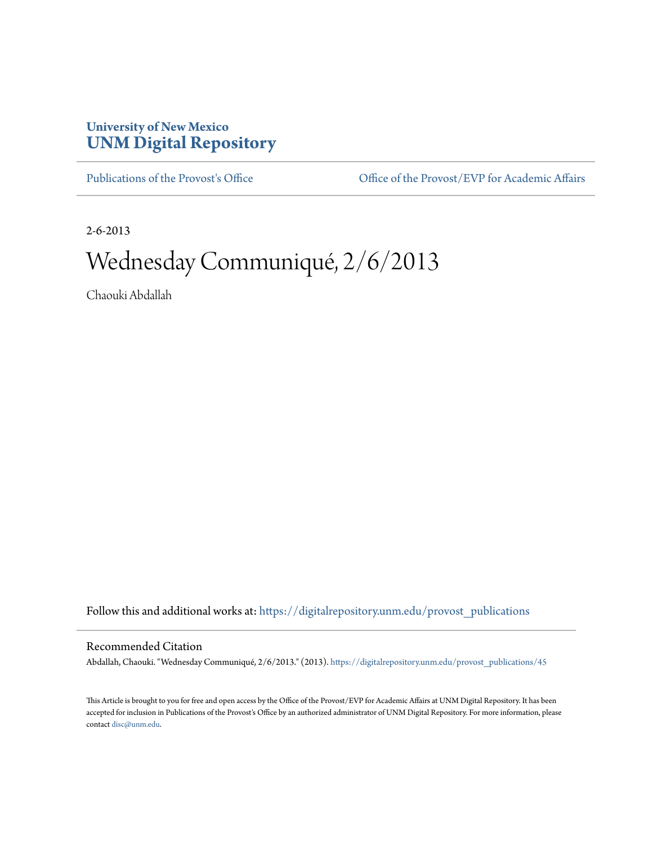## **University of New Mexico [UNM Digital Repository](https://digitalrepository.unm.edu?utm_source=digitalrepository.unm.edu%2Fprovost_publications%2F45&utm_medium=PDF&utm_campaign=PDFCoverPages)**

[Publications of the Provost's Office](https://digitalrepository.unm.edu/provost_publications?utm_source=digitalrepository.unm.edu%2Fprovost_publications%2F45&utm_medium=PDF&utm_campaign=PDFCoverPages) Office [Office of the Provost/EVP for Academic Affairs](https://digitalrepository.unm.edu/ofc_provost?utm_source=digitalrepository.unm.edu%2Fprovost_publications%2F45&utm_medium=PDF&utm_campaign=PDFCoverPages)

2-6-2013

# Wednesday Communiqué, 2/6/2013

Chaouki Abdallah

Follow this and additional works at: [https://digitalrepository.unm.edu/provost\\_publications](https://digitalrepository.unm.edu/provost_publications?utm_source=digitalrepository.unm.edu%2Fprovost_publications%2F45&utm_medium=PDF&utm_campaign=PDFCoverPages)

#### Recommended Citation

Abdallah, Chaouki. "Wednesday Communiqué, 2/6/2013." (2013). [https://digitalrepository.unm.edu/provost\\_publications/45](https://digitalrepository.unm.edu/provost_publications/45?utm_source=digitalrepository.unm.edu%2Fprovost_publications%2F45&utm_medium=PDF&utm_campaign=PDFCoverPages)

This Article is brought to you for free and open access by the Office of the Provost/EVP for Academic Affairs at UNM Digital Repository. It has been accepted for inclusion in Publications of the Provost's Office by an authorized administrator of UNM Digital Repository. For more information, please contact [disc@unm.edu.](mailto:disc@unm.edu)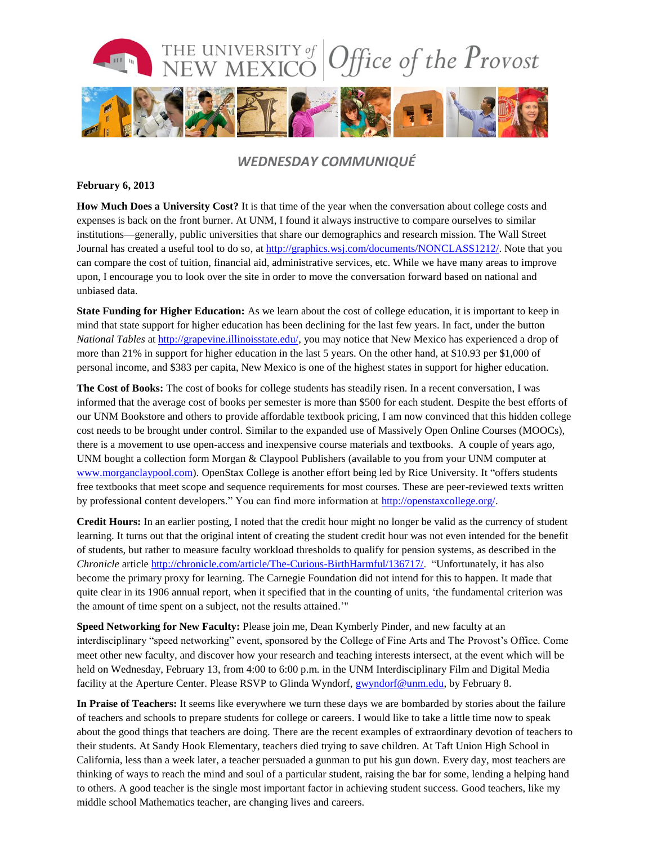

### *WEDNESDAY COMMUNIQUÉ*

#### **February 6, 2013**

**How Much Does a University Cost?** It is that time of the year when the conversation about college costs and expenses is back on the front burner. At UNM, I found it always instructive to compare ourselves to similar institutions—generally, public universities that share our demographics and research mission. The Wall Street Journal has created a useful tool to do so, a[t http://graphics.wsj.com/documents/NONCLASS1212/.](http://graphics.wsj.com/documents/NONCLASS1212/) Note that you can compare the cost of tuition, financial aid, administrative services, etc. While we have many areas to improve upon, I encourage you to look over the site in order to move the conversation forward based on national and unbiased data.

**State Funding for Higher Education:** As we learn about the cost of college education, it is important to keep in mind that state support for higher education has been declining for the last few years. In fact, under the button *National Tables* at [http://grapevine.illinoisstate.edu/,](http://grapevine.illinoisstate.edu/) you may notice that New Mexico has experienced a drop of more than 21% in support for higher education in the last 5 years. On the other hand, at \$10.93 per \$1,000 of personal income, and \$383 per capita, New Mexico is one of the highest states in support for higher education.

**The Cost of Books:** The cost of books for college students has steadily risen. In a recent conversation, I was informed that the average cost of books per semester is more than \$500 for each student. Despite the best efforts of our UNM Bookstore and others to provide affordable textbook pricing, I am now convinced that this hidden college cost needs to be brought under control. Similar to the expanded use of Massively Open Online Courses (MOOCs), there is a movement to use open-access and inexpensive course materials and textbooks. A couple of years ago, UNM bought a collection form Morgan & Claypool Publishers (available to you from your UNM computer at [www.morganclaypool.com\)](http://www.morganclaypool.com/). OpenStax College is another effort being led by Rice University. It "offers students free textbooks that meet scope and sequence requirements for most courses. These are peer-reviewed texts written by professional content developers." You can find more information at [http://openstaxcollege.org/.](http://openstaxcollege.org/)

**Credit Hours:** In an earlier posting, I noted that the credit hour might no longer be valid as the currency of student learning. It turns out that the original intent of creating the student credit hour was not even intended for the benefit of students, but rather to measure faculty workload thresholds to qualify for pension systems, as described in the *Chronicle* article [http://chronicle.com/article/The-Curious-BirthHarmful/136717/.](http://chronicle.com/article/The-Curious-BirthHarmful/136717/) "Unfortunately, it has also become the primary proxy for learning. The Carnegie Foundation did not intend for this to happen. It made that quite clear in its 1906 annual report, when it specified that in the counting of units, 'the fundamental criterion was the amount of time spent on a subject, not the results attained.'"

**Speed Networking for New Faculty:** Please join me, Dean Kymberly Pinder, and new faculty at an interdisciplinary "speed networking" event, sponsored by the College of Fine Arts and The Provost's Office. Come meet other new faculty, and discover how your research and teaching interests intersect, at the event which will be held on Wednesday, February 13, from 4:00 to 6:00 p.m. in the UNM Interdisciplinary Film and Digital Media facility at the Aperture Center. Please RSVP to Glinda Wyndorf, [gwyndorf@unm.edu,](mailto:gwyndorf@unm.edu) by February 8.

**In Praise of Teachers:** It seems like everywhere we turn these days we are bombarded by stories about the failure of teachers and schools to prepare students for college or careers. I would like to take a little time now to speak about the good things that teachers are doing. There are the recent examples of extraordinary devotion of teachers to their students. At Sandy Hook Elementary, teachers died trying to save children. At Taft Union High School in California, less than a week later, a teacher persuaded a gunman to put his gun down. Every day, most teachers are thinking of ways to reach the mind and soul of a particular student, raising the bar for some, lending a helping hand to others. A good teacher is the single most important factor in achieving student success. Good teachers, like my middle school Mathematics teacher, are changing lives and careers.